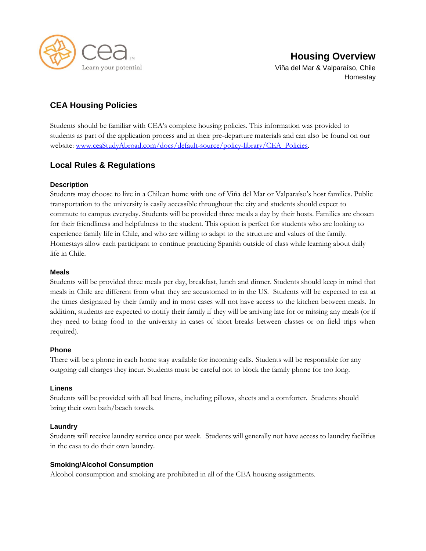

## **CEA Housing Policies**

Students should be familiar with CEA's complete housing policies. This information was provided to students as part of the application process and in their pre-departure materials and can also be found on our website: [www.ceaStudyAbroad.com/docs/default-source/policy-library/CEA\\_Policies.](http://www.ceastudyabroad.com/docs/default-source/policy-library/CEA_Policies)

### **Local Rules & Regulations**

### **Description**

Students may choose to live in a Chilean home with one of Viña del Mar or Valparaíso's host families. Public transportation to the university is easily accessible throughout the city and students should expect to commute to campus everyday. Students will be provided three meals a day by their hosts. Families are chosen for their friendliness and helpfulness to the student. This option is perfect for students who are looking to experience family life in Chile, and who are willing to adapt to the structure and values of the family. Homestays allow each participant to continue practicing Spanish outside of class while learning about daily life in Chile.

### **Meals**

Students will be provided three meals per day, breakfast, lunch and dinner. Students should keep in mind that meals in Chile are different from what they are accustomed to in the US. Students will be expected to eat at the times designated by their family and in most cases will not have access to the kitchen between meals. In addition, students are expected to notify their family if they will be arriving late for or missing any meals (or if they need to bring food to the university in cases of short breaks between classes or on field trips when required).

### **Phone**

There will be a phone in each home stay available for incoming calls. Students will be responsible for any outgoing call charges they incur. Students must be careful not to block the family phone for too long.

### **Linens**

Students will be provided with all bed linens, including pillows, sheets and a comforter. Students should bring their own bath/beach towels.

### **Laundry**

Students will receive laundry service once per week. Students will generally not have access to laundry facilities in the casa to do their own laundry.

### **Smoking/Alcohol Consumption**

Alcohol consumption and smoking are prohibited in all of the CEA housing assignments.